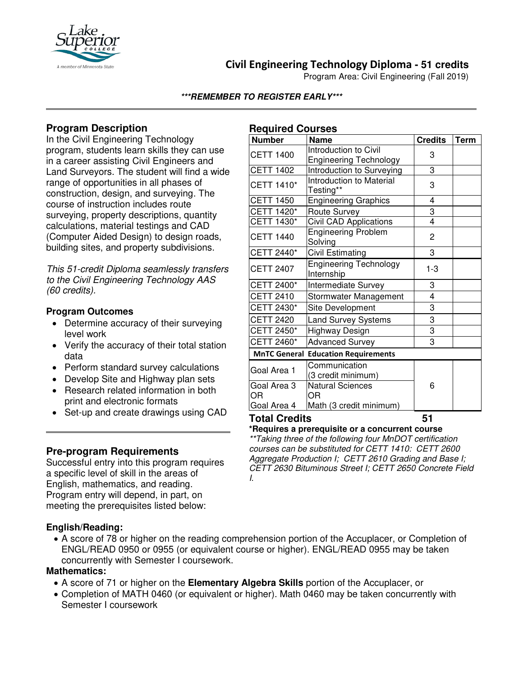

## **Civil Engineering Technology Diploma - 51 credits**

Program Area: Civil Engineering (Fall 2019)

### **\*\*\*REMEMBER TO REGISTER EARLY\*\*\***

### **Program Description**

In the Civil Engineering Technology program, students learn skills they can use in a career assisting Civil Engineers and Land Surveyors. The student will find a wide range of opportunities in all phases of construction, design, and surveying. The course of instruction includes route surveying, property descriptions, quantity calculations, material testings and CAD (Computer Aided Design) to design roads, building sites, and property subdivisions.

*This 51-credit Diploma seamlessly transfers to the Civil Engineering Technology AAS (60 credits).*

#### **Program Outcomes**

- Determine accuracy of their surveying level work
- Verify the accuracy of their total station data
- Perform standard survey calculations
- Develop Site and Highway plan sets
- Research related information in both print and electronic formats
- Set-up and create drawings using CAD

### **Pre-program Requirements**

Successful entry into this program requires a specific level of skill in the areas of English, mathematics, and reading. Program entry will depend, in part, on meeting the prerequisites listed below:

### **English/Reading:**

# **Required Courses**

| Number               | <b>Name</b>                                            | <b>Credits</b> | <b>Term</b> |
|----------------------|--------------------------------------------------------|----------------|-------------|
| <b>CETT 1400</b>     | Introduction to Civil<br><b>Engineering Technology</b> | 3              |             |
| <b>CETT 1402</b>     | <b>Introduction to Surveying</b>                       | 3              |             |
| CETT 1410*           | <b>Introduction to Material</b><br>Testing**           | 3              |             |
| <b>CETT 1450</b>     | <b>Engineering Graphics</b>                            | 4              |             |
| CETT 1420*           | Route Survey                                           | 3              |             |
| <b>CETT 1430*</b>    | Civil CAD Applications                                 | 4              |             |
| <b>CETT 1440</b>     | <b>Engineering Problem</b><br>Solving                  | 2              |             |
| CETT 2440*           | <b>Civil Estimating</b>                                | 3              |             |
| <b>CETT 2407</b>     | <b>Engineering Technology</b><br>Internship            | 1-3            |             |
| CETT 2400*           | Intermediate Survey                                    | 3              |             |
| <b>CETT 2410</b>     | Stormwater Management                                  | 4              |             |
| CETT 2430*           | Site Development                                       | 3              |             |
| <b>CETT 2420</b>     | <b>Land Survey Systems</b>                             | 3              |             |
| CETT 2450*           | Highway Design                                         | $\overline{3}$ |             |
| CETT 2460*           | <b>Advanced Survey</b>                                 | 3              |             |
|                      | <b>MnTC General Education Requirements</b>             |                |             |
| Goal Area 1          | Communication<br>(3 credit minimum)                    |                |             |
| Goal Area 3<br>ΟR    | <b>Natural Sciences</b><br>ΟR                          | 6              |             |
| Goal Area 4          | Math (3 credit minimum)                                |                |             |
| <b>Total Credits</b> | 51                                                     |                |             |

**\*Requires a prerequisite or a concurrent course**

*\*\*Taking three of the following four MnDOT certification courses can be substituted for CETT 1410: CETT 2600 Aggregate Production I; CETT 2610 Grading and Base I; CETT 2630 Bituminous Street I; CETT 2650 Concrete Field I.*

• A score of 78 or higher on the reading comprehension portion of the Accuplacer, or Completion of ENGL/READ 0950 or 0955 (or equivalent course or higher). ENGL/READ 0955 may be taken concurrently with Semester I coursework.

#### **Mathematics:**

- A score of 71 or higher on the **Elementary Algebra Skills** portion of the Accuplacer, or
- Completion of MATH 0460 (or equivalent or higher). Math 0460 may be taken concurrently with Semester I coursework